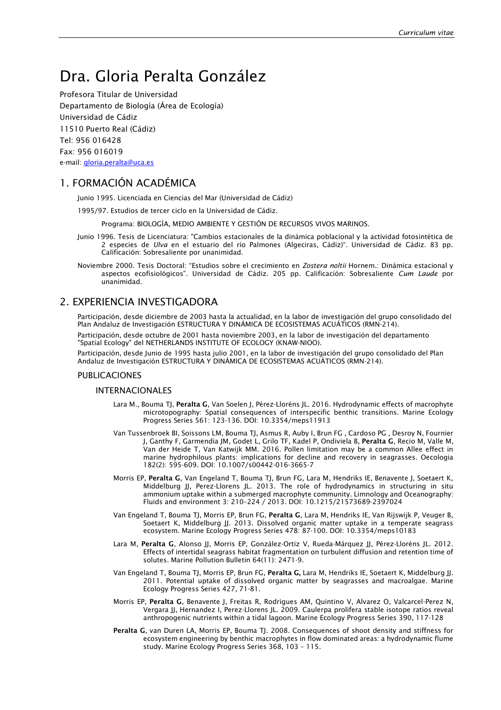# Dra. Gloria Peralta González

Profesora Titular de Universidad Departamento de Biología (Área de Ecología) Universidad de Cádiz 11510 Puerto Real (Cádiz) Tel: 956 016428 Fax: 956 016019 e-mail[: gloria.peralta@uca.es](mailto:gloria.peralta@uca.es)

## 1. FORMACIÓN ACADÉMICA

Junio 1995. Licenciada en Ciencias del Mar (Universidad de Cádiz)

1995/97. Estudios de tercer ciclo en la Universidad de Cádiz.

Programa: BIOLOGÍA, MEDIO AMBIENTE Y GESTIÓN DE RECURSOS VIVOS MARINOS.

- Junio 1996. Tesis de Licenciatura: "Cambios estacionales de la dinámica poblacional y la actividad fotosintética de 2 especies de *Ulva* en el estuario del río Palmones (Algeciras, Cádiz)". Universidad de Cádiz. 83 pp. Calificación: Sobresaliente por unanimidad.
- Noviembre 2000. Tesis Doctoral: "Estudios sobre el crecimiento en *Zostera noltii* Hornem.: Dinámica estacional y aspectos ecofisiológicos". Universidad de Cádiz. 205 pp. Calificación: Sobresaliente *Cum Laude* por unanimidad.

### 2. EXPERIENCIA INVESTIGADORA

Participación, desde diciembre de 2003 hasta la actualidad, en la labor de investigación del grupo consolidado del Plan Andaluz de Investigación ESTRUCTURA Y DINÁMICA DE ECOSISTEMAS ACUÁTICOS (RMN-214).

Participación, desde octubre de 2001 hasta noviembre 2003, en la labor de investigación del departamento "Spatial Ecology" del NETHERLANDS INSTITUTE OF ECOLOGY (KNAW-NIOO).

Participación, desde Junio de 1995 hasta julio 2001, en la labor de investigación del grupo consolidado del Plan Andaluz de Investigación ESTRUCTURA Y DINÁMICA DE ECOSISTEMAS ACUÁTICOS (RMN-214).

#### PUBLICACIONES

#### INTERNACIONALES

- Lara M., Bouma TJ, Peralta G, Van Soelen J, Pérez-Lloréns JL. 2016. Hydrodynamic effects of macrophyte microtopography: Spatial consequences of interspecific benthic transitions. Marine Ecology Progress Series 561: 123-136. DOI: 10.3354/meps11913
- Van Tussenbroek BI, Soissons LM, Bouma TJ, Asmus R, Auby I, Brun FG , Cardoso PG , Desroy N, Fournier J, Ganthy F, Garmendia JM, Godet L, Grilo TF, Kadel P, Ondiviela B, Peralta G, Recio M, Valle M, Van der Heide T, Van Katwijk MM. 2016. Pollen limitation may be a common Allee effect in marine hydrophilous plants: implications for decline and recovery in seagrasses. Oecologia 182(2): 595-609. DOI: 10.1007/s00442-016-3665-7
- Morris EP, Peralta G, Van Engeland T, Bouma TJ, Brun FG, Lara M, Hendriks IE, Benavente J, Soetaert K, Middelburg JJ, Perez-Llorens JL. 2013. The role of hydrodynamics in structuring in situ ammonium uptake within a submerged macrophyte community. Limnology and Oceanography: Fluids and environment 3: 210–224 / 2013. DOI: 10.1215/21573689-2397024
- Van Engeland T, Bouma TJ, Morris EP, Brun FG, Peralta G, Lara M, Hendriks IE, Van Rijswijk P, Veuger B, Soetaert K, Middelburg JJ. 2013. Dissolved organic matter uptake in a temperate seagrass ecosystem. Marine Ecology Progress Series 478: 87-100. DOI: 10.3354/meps10183
- Lara M, Peralta G, Alonso JJ, Morris EP, González-Ortiz V, Rueda-Márquez JJ, Pérez-Lloréns JL. 2012. Effects of intertidal seagrass habitat fragmentation on turbulent diffusion and retention time of solutes. Marine Pollution Bulletin 64(11): 2471-9.
- Van Engeland T, Bouma TJ, Morris EP, Brun FG, Peralta G, Lara M, Hendriks IE, Soetaert K, Middelburg JJ. 2011. Potential uptake of dissolved organic matter by seagrasses and macroalgae. Marine Ecology Progress Series 427, 71-81.
- Morris EP, Peralta G, Benavente J, Freitas R, Rodrigues AM, Quintino V, Alvarez O, Valcarcel-Perez N, Vergara JJ, Hernandez I, Perez-Llorens JL. 2009. Caulerpa prolifera stable isotope ratios reveal anthropogenic nutrients within a tidal lagoon. Marine Ecology Progress Series 390, 117-128
- Peralta G, van Duren LA, Morris EP, Bouma TJ. 2008. Consequences of shoot density and stiffness for ecosystem engineering by benthic macrophytes in flow dominated areas: a hydrodynamic flume study. Marine Ecology Progress Series 368, 103 – 115.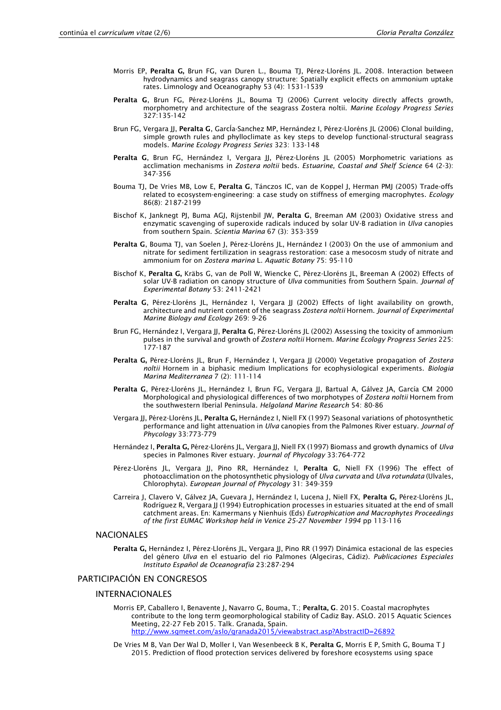- Morris EP, Peralta G, Brun FG, van Duren L., Bouma TJ, Pérez-Lloréns JL. 2008. Interaction between hydrodynamics and seagrass canopy structure: Spatially explicit effects on ammonium uptake rates. Limnology and Oceanography 53 (4): 1531-1539
- Peralta G, Brun FG, Pérez-Lloréns JL, Bouma TJ (2006) Current velocity directly affects growth, morphometry and architecture of the seagrass Zostera noltii. *Marine Ecology Progress Series* 327:135-142
- Brun FG, Vergara JJ, Peralta G, García-Sanchez MP, Hernández I, Pérez-Lloréns JL (2006) Clonal building, simple growth rules and phylloclimate as key steps to develop functional-structural seagrass models. *Marine Ecology Progress Series* 323: 133-148
- Peralta G, Brun FG, Hernández I, Vergara JJ, Pérez-Lloréns JL (2005) Morphometric variations as acclimation mechanisms in *Zostera noltii* beds. *Estuarine, Coastal and Shelf Science* 64 (2-3): 347-356
- Bouma TJ, De Vries MB, Low E, Peralta G, Tánczos IC, van de Koppel J, Herman PMJ (2005) Trade-offs related to ecosystem-engineering: a case study on stiffness of emerging macrophytes. *Ecology* 86(8): 2187-2199
- Bischof K, Janknegt PJ, Buma AGJ, Rijstenbil JW, Peralta G, Breeman AM (2003) Oxidative stress and enzymatic scavenging of superoxide radicals induced by solar UV-B radiation in *Ulva* canopies from southern Spain. *Scientia Marina* 67 (3): 353-359
- Peralta G, Bouma TJ, van Soelen J, Pérez-Lloréns JL, Hernández I (2003) On the use of ammonium and nitrate for sediment fertilization in seagrass restoration: case a mesocosm study of nitrate and ammonium for on *Zostera marina* L. *Aquatic Botany* 75: 95-110
- Bischof K, Peralta G, Kräbs G, van de Poll W, Wiencke C, Pérez-Lloréns JL, Breeman A (2002) Effects of solar UV-B radiation on canopy structure of *Ulva* communities from Southern Spain. *Journal of Experimental Botany* 53: 2411-2421
- Peralta G, Pérez-Lloréns JL, Hernández I, Vergara JJ (2002) Effects of light availability on growth, architecture and nutrient content of the seagrass *Zostera noltii* Hornem. *Journal of Experimental Marine Biology and Ecology* 269: 9-26
- Brun FG, Hernández I, Vergara JJ, Peralta G, Pérez-Lloréns JL (2002) Assessing the toxicity of ammonium pulses in the survival and growth of *Zostera noltii* Hornem. *Marine Ecology Progress Series* 225: 177-187
- Peralta G, Pérez-Lloréns JL, Brun F, Hernández I, Vergara JJ (2000) Vegetative propagation of *Zostera noltii* Hornem in a biphasic medium Implications for ecophysiological experiments. *Biologia Marina Mediterranea* 7 (2): 111-114
- Peralta G, Pérez-Lloréns JL, Hernández I, Brun FG, Vergara JJ, Bartual A, Gálvez JA, García CM 2000 Morphological and physiological differences of two morphotypes of *Zostera noltii* Hornem from the southwestern Iberial Peninsula. *Helgoland Marine Research* 54: 80-86
- Vergara JJ, Pérez-Lloréns JL, Peralta G, Hernández I, Niell FX (1997) Seasonal variations of photosynthetic performance and light attenuation in *Ulva* canopies from the Palmones River estuary. *Journal of Phycology* 33:773-779
- Hernández I, Peralta G, Pérez-Lloréns JL, Vergara JJ, Niell FX (1997) Biomass and growth dynamics of *Ulva* species in Palmones River estuary. *Journal of Phycology* 33:764-772
- Pérez-Lloréns JL, Vergara JJ, Pino RR, Hernández I, Peralta G, Niell FX (1996) The effect of photoacclimation on the photosynthetic physiology of *Ulva curvata* and *Ulva rotundata* (Ulvales, Chlorophyta). *European Journal of Phycology* 31: 349-359
- Carreira J, Clavero V, Gálvez JA, Guevara J, Hernández I, Lucena J, Niell FX, Peralta G, Pérez-Lloréns JL, Rodríguez R, Vergara JJ (1994) Eutrophication processes in estuaries situated at the end of small catchment areas. En: Kamermans y Nienhuis (Eds) *Eutrophication and Macrophytes Proceedings of the first EUMAC Workshop held in Venice 25-27 November 1994* pp 113-116

#### NACIONALES

Peralta G, Hernández I, Pérez-Lloréns JL, Vergara JJ, Pino RR (1997) Dinámica estacional de las especies del género *Ulva* en el estuario del rio Palmones (Algeciras, Cádiz). *Publicaciones Especiales Instituto Español de Oceanografía* 23:287-294

#### PARTICIPACIÓN EN CONGRESOS

#### INTERNACIONALES

Morris EP, Caballero I, Benavente J, Navarro G, Bouma, T.; Peralta, G. 2015. Coastal macrophytes contribute to the long term geomorphological stability of Cadiz Bay. ASLO. 2015 Aquatic Sciences Meeting, 22-27 Feb 2015. Talk. Granada, Spain. <http://www.sgmeet.com/aslo/granada2015/viewabstract.asp?AbstractID=26892>

De Vries M B, Van Der Wal D, Moller I, Van Wesenbeeck B K, Peralta G, Morris E P, Smith G, Bouma T J 2015. Prediction of flood protection services delivered by foreshore ecosystems using space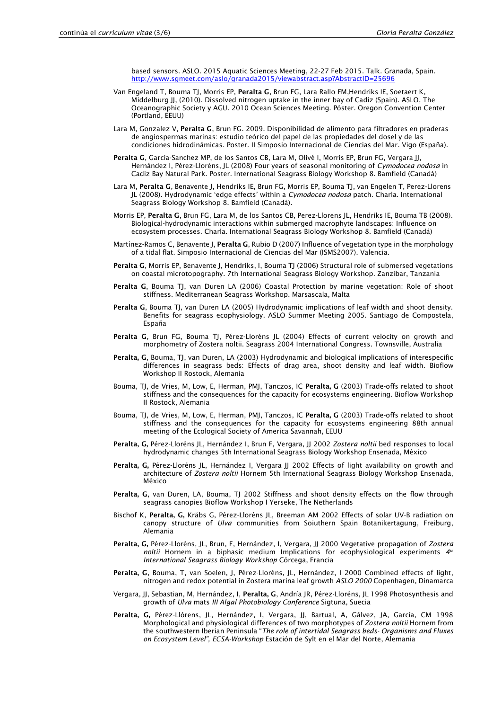based sensors. ASLO. 2015 Aquatic Sciences Meeting, 22-27 Feb 2015. Talk. Granada, Spain. <http://www.sgmeet.com/aslo/granada2015/viewabstract.asp?AbstractID=25696>

- Van Engeland T, Bouma TJ, Morris EP, Peralta G, Brun FG, Lara Rallo FM,Hendriks IE, Soetaert K, Middelburg JJ, (2010). Dissolved nitrogen uptake in the inner bay of Cadiz (Spain). ASLO, The Oceanographic Society y AGU. 2010 Ocean Sciences Meeting. Póster. Oregon Convention Center (Portland, EEUU)
- Lara M, Gonzalez V, Peralta G, Brun FG. 2009. Disponibilidad de alimento para filtradores en praderas de angiospermas marinas: estudio teórico del papel de las propiedades del dosel y de las condiciones hidrodinámicas. Poster. II Simposio Internacional de Ciencias del Mar. Vigo (España).
- Peralta G, Garcia-Sanchez MP, de los Santos CB, Lara M, Olivé I, Morris EP, Brun FG, Vergara JJ, Hernández I, Pérez-Lloréns, JL (2008) Four years of seasonal monitoring of *Cymodocea nodosa* in Cadiz Bay Natural Park. Poster. International Seagrass Biology Workshop 8. Bamfield (Canadá)
- Lara M, Peralta G, Benavente J, Hendriks IE, Brun FG, Morris EP, Bouma TJ, van Engelen T, Perez-Llorens JL (2008). Hydrodynamic 'edge effects' within a *Cymodocea nodosa* patch. Charla. International Seagrass Biology Workshop 8. Bamfield (Canadá).
- Morris EP, Peralta G, Brun FG, Lara M, de los Santos CB, Perez-Llorens JL, Hendriks IE, Bouma TB (2008). Biological-hydrodynamic interactions within submerged macrophyte landscapes: Influence on ecosystem processes. Charla. International Seagrass Biology Workshop 8. Bamfield (Canadá)
- Martínez-Ramos C, Benavente J, Peralta G, Rubio D (2007) Influence of vegetation type in the morphology of a tidal flat. Simposio Internacional de Ciencias del Mar (ISMS2007). Valencia.
- Peralta G. Morris EP, Benavente I, Hendriks, I, Bouma TJ (2006) Structural role of submersed vegetations on coastal microtopography. 7th International Seagrass Biology Workshop. Zanzibar, Tanzania
- Peralta G, Bouma TJ, van Duren LA (2006) Coastal Protection by marine vegetation: Role of shoot stiffness. Mediterranean Seagrass Workshop. Marsascala, Malta
- Peralta G, Bouma TJ, van Duren LA (2005) Hydrodynamic implications of leaf width and shoot density. Benefits for seagrass ecophysiology. ASLO Summer Meeting 2005. Santiago de Compostela, España
- Peralta G, Brun FG, Bouma TJ, Pérez-Lloréns JL (2004) Effects of current velocity on growth and morphometry of Zostera noltii. Seagrass 2004 International Congress. Townsville, Australia
- Peralta, G, Bouma, TJ, van Duren, LA (2003) Hydrodynamic and biological implications of interespecific differences in seagrass beds: Effects of drag area, shoot density and leaf width. Bioflow Workshop II Rostock, Alemania
- Bouma, TJ, de Vries, M, Low, E, Herman, PMJ, Tanczos, IC Peralta, G (2003) Trade-offs related to shoot stiffness and the consequences for the capacity for ecosystems engineering. Bioflow Workshop II Rostock, Alemania
- Bouma, TJ, de Vries, M, Low, E, Herman, PMJ, Tanczos, IC Peralta, G (2003) Trade-offs related to shoot stiffness and the consequences for the capacity for ecosystems engineering 88th annual meeting of the Ecological Society of America Savannah, EEUU
- Peralta, G, Pérez-Lloréns JL, Hernández I, Brun F, Vergara, JJ 2002 *Zostera noltii* bed responses to local hydrodynamic changes 5th International Seagrass Biology Workshop Ensenada, México
- Peralta, G, Pérez-Lloréns JL, Hernández I, Vergara JJ 2002 Effects of light availability on growth and architecture of *Zostera noltii* Hornem 5th International Seagrass Biology Workshop Ensenada, México
- Peralta, G, van Duren, LA, Bouma, TJ 2002 Stiffness and shoot density effects on the flow through seagrass canopies Bioflow Workshop I Yerseke, The Netherlands
- Bischof K, Peralta, G, Kräbs G, Pérez-Lloréns JL, Breeman AM 2002 Effects of solar UV-B radiation on canopy structure of *Ulva* communities from Soiuthern Spain Botanikertagung, Freiburg, Alemania
- Peralta, G, Pérez-Lloréns, JL, Brun, F, Hernández, I, Vergara, JJ 2000 Vegetative propagation of *Zostera noltii* Hornem in a biphasic medium Implications for ecophysiological experiments *4 th International Seagrass Biology Workshop* Córcega, Francia
- Peralta, G, Bouma, T, van Soelen, J, Pérez-Lloréns, JL, Hernández, I 2000 Combined effects of light, nitrogen and redox potential in Zostera marina leaf growth *ASLO 2000* Copenhagen, Dinamarca
- Vergara, JJ, Sebastian, M, Hernández, I, Peralta, G, Andría JR, Pérez-Lloréns, JL 1998 Photosynthesis and growth of *Ulva* mats *III Algal Photobiology Conference* Sigtuna, Suecia
- Peralta, G, Pérez-Llórens, JL, Hernández, I, Vergara, JJ, Bartual, A, Gálvez, JA, García, CM 1998 Morphological and physiological differences of two morphotypes of *Zostera noltii* Hornem from the southwestern Iberian Peninsula "*The role of intertidal Seagrass beds- Organisms and Fluxes on Ecosystem Level", ECSA-Workshop* Estación de Sylt en el Mar del Norte, Alemania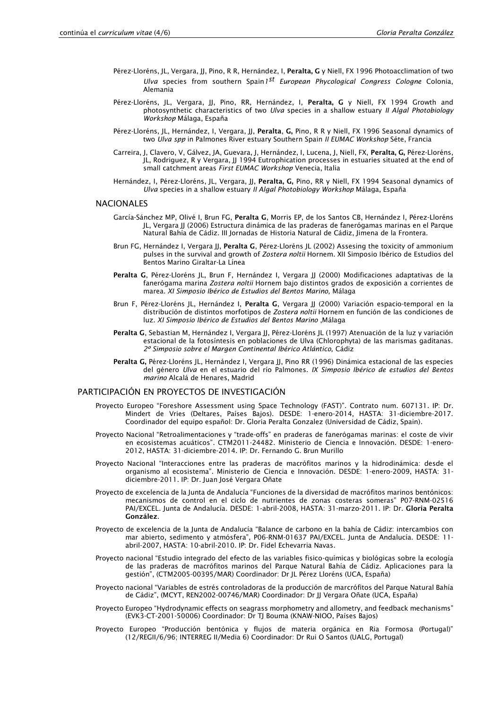- Pérez-Lloréns, JL, Vergara, JJ, Pino, R R, Hernández, I, Peralta, G y Niell, FX 1996 Photoacclimation of two *Ulva* species from southern Spain*1 st European Phycological Congress Cologne* Colonia, Alemania
- Pérez-Lloréns, JL, Vergara, JJ, Pino, RR, Hernández, I, Peralta, G y Niell, FX 1994 Growth and photosynthetic characteristics of two *Ulva* species in a shallow estuary *II Algal Photobiology Workshop* Málaga, España
- Pérez-Lloréns, JL, Hernández, I, Vergara, JJ, Peralta, G, Pino, R R y Niell, FX 1996 Seasonal dynamics of two *Ulva spp* in Palmones River estuary Southern Spain *II EUMAC Workshop* Séte, Francia
- Carreira, J, Clavero, V, Gálvez, JA, Guevara, J, Hernández, I, Lucena, J, Niell, FX, Peralta, G, Pérez-Lloréns, JL, Rodriguez, R y Vergara, JJ 1994 Eutrophication processes in estuaries situated at the end of small catchment areas *First EUMAC Workshop* Venecia, Italia
- Hernández, I, Pérez-Lloréns, JL, Vergara, JJ, Peralta, G, Pino, RR y Niell, FX 1994 Seasonal dynamics of *Ulva* species in a shallow estuary *II Algal Photobiology Workshop* Málaga, España

#### NACIONALES

- García-Sánchez MP, Olivé I, Brun FG, Peralta G, Morris EP, de los Santos CB, Hernández I, Pérez-Lloréns JL, Vergara JJ (2006) Estructura dinámica de las praderas de fanerógamas marinas en el Parque Natural Bahía de Cádiz. III Jornadas de Historia Natural de Cádiz, Jimena de la Frontera.
- Brun FG, Hernández I, Vergara JJ, Peralta G, Pérez-Lloréns JL (2002) Assesing the toxicity of ammonium pulses in the survival and growth of *Zostera noltii* Hornem. XII Simposio Ibérico de Estudios del Bentos Marino Giraltar-La Línea
- Peralta G, Pérez-Lloréns JL, Brun F, Hernández I, Vergara JJ (2000) Modificaciones adaptativas de la fanerógama marina *Zostera noltii* Hornem bajo distintos grados de exposición a corrientes de marea. *XI Simposio Ibérico de Estudios del Bentos Marino,* Málaga
- Brun F, Pérez-Lloréns JL, Hernández I, Peralta G, Vergara JJ (2000) Variación espacio-temporal en la distribución de distintos morfotipos de *Zostera noltii* Hornem en función de las condiciones de luz. *XI Simposio Ibérico de Estudios del Bentos Marino* ,Málaga
- Peralta G, Sebastian M, Hernández I, Vergara JJ, Pérez-Lloréns JL (1997) Atenuación de la luz y variación estacional de la fotosíntesis en poblaciones de Ulva (Chlorophyta) de las marismas gaditanas. *2º Simposio sobre el Margen Continental Ibérico Atlántico,* Cádiz
- Peralta G, Pérez-Lloréns JL, Hernández I, Vergara JJ, Pino RR (1996) Dinámica estacional de las especies del género *Ulva* en el estuario del río Palmones. *IX Simposio Ibérico de estudios del Bentos marino* Alcalá de Henares, Madrid

#### PARTICIPACIÓN EN PROYECTOS DE INVESTIGACIÓN

- Proyecto Europeo "Foreshore Assessment using Space Technology (FAST)". Contrato num. 607131. IP: Dr. Mindert de Vries (Deltares, Países Bajos). DESDE: 1-enero-2014, HASTA: 31-diciembre-2017. Coordinador del equipo español: Dr. Gloria Peralta Gonzalez (Universidad de Cádiz, Spain).
- Proyecto Nacional "Retroalimentaciones y "trade-offs" en praderas de fanerógamas marinas: el coste de vivir en ecosistemas acuáticos". CTM2011-24482. Ministerio de Ciencia e Innovación. DESDE: 1-enero-2012, HASTA: 31-diciembre-2014. IP: Dr. Fernando G. Brun Murillo
- Proyecto Nacional "Interacciones entre las praderas de macrófitos marinos y la hidrodinámica: desde el organismo al ecosistema". Ministerio de Ciencia e Innovación. DESDE: 1-enero-2009, HASTA: 31 diciembre-2011. IP: Dr. Juan José Vergara Oñate
- Proyecto de excelencia de la Junta de Andalucía "Funciones de la diversidad de macrófitos marinos bentónicos: mecanismos de control en el ciclo de nutrientes de zonas costeras someras" P07-RNM-02516 PAI/EXCEL. Junta de Andalucía. DESDE: 1-abril-2008, HASTA: 31-marzo-2011. IP: Dr. Gloria Peralta González.
- Proyecto de excelencia de la Junta de Andalucía "Balance de carbono en la bahía de Cádiz: intercambios con mar abierto, sedimento y atmósfera", P06-RNM-01637 PAI/EXCEL. Junta de Andalucía. DESDE: 11 abril-2007, HASTA: 10-abril-2010. IP: Dr. Fidel Echevarria Navas.
- Proyecto nacional "Estudio integrado del efecto de las variables fisico-químicas y biológicas sobre la ecología de las praderas de macrófitos marinos del Parque Natural Bahía de Cádiz. Aplicaciones para la gestión", (CTM2005-00395/MAR) Coordinador: Dr JL Pérez Lloréns (UCA, España)
- Proyecto nacional "Variables de estrés controladoras de la producción de marcrófitos del Parque Natural Bahía de Cádiz", (MCYT, REN2002-00746/MAR) Coordinador: Dr JJ Vergara Oñate (UCA, España)
- Proyecto Europeo "Hydrodynamic effects on seagrass morphometry and allometry, and feedback mechanisms" (EVK3-CT-2001-50006) Coordinador: Dr TJ Bouma (KNAW-NIOO, Países Bajos)
- Proyecto Europeo "Producción bentónica y flujos de materia orgánica en Ria Formosa (Portugal)" (12/REGII/6/96; INTERREG II/Media 6) Coordinador: Dr Rui O Santos (UALG, Portugal)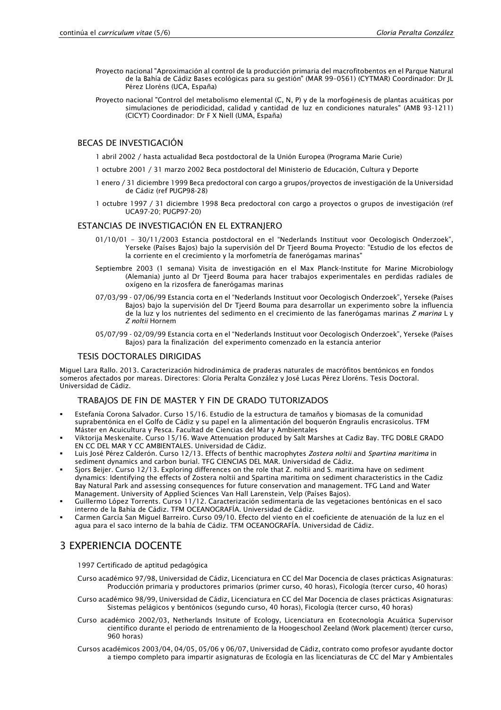- Proyecto nacional "Aproximación al control de la producción primaria del macrofitobentos en el Parque Natural de la Bahía de Cádiz Bases ecológicas para su gestión" (MAR 99–0561) (CYTMAR) Coordinador: Dr JL Pérez Lloréns (UCA, España)
- Proyecto nacional "Control del metabolismo elemental (C, N, P) y de la morfogénesis de plantas acuáticas por simulaciones de periodicidad, calidad y cantidad de luz en condiciones naturales" (AMB 93-1211) (CICYT) Coordinador: Dr F X Niell (UMA, España)

#### BECAS DE INVESTIGACIÓN

- 1 abril 2002 / hasta actualidad Beca postdoctoral de la Unión Europea (Programa Marie Curie)
- 1 octubre 2001 / 31 marzo 2002 Beca postdoctoral del Ministerio de Educación, Cultura y Deporte
- 1 enero / 31 diciembre 1999 Beca predoctoral con cargo a grupos/proyectos de investigación de la Universidad de Cádiz (ref PUGP98-28)
- 1 octubre 1997 / 31 diciembre 1998 Beca predoctoral con cargo a proyectos o grupos de investigación (ref UCA97-20; PUGP97-20)

#### ESTANCIAS DE INVESTIGACIÓN EN EL EXTRANJERO

- 01/10/01 30/11/2003 Estancia postdoctoral en el "Nederlands Instituut voor Oecologisch Onderzoek", Yerseke (Países Bajos) bajo la supervisión del Dr Tjeerd Bouma Proyecto: "Estudio de los efectos de la corriente en el crecimiento y la morfometría de fanerógamas marinas"
- Septiembre 2003 (1 semana) Visita de investigación en el Max Planck-Institute for Marine Microbiology (Alemania) junto al Dr Tjeerd Bouma para hacer trabajos experimentales en perdidas radiales de oxígeno en la rizosfera de fanerógamas marinas
- 07/03/99 07/06/99 Estancia corta en el "Nederlands Instituut voor Oecologisch Onderzoek", Yerseke (Países Bajos) bajo la supervisión del Dr Tjeerd Bouma para desarrollar un experimento sobre la influencia de la luz y los nutrientes del sedimento en el crecimiento de las fanerógamas marinas *Z marina* L y *Z noltii* Hornem
- 05/07/99 02/09/99 Estancia corta en el "Nederlands Instituut voor Oecologisch Onderzoek", Yerseke (Países Bajos) para la finalización del experimento comenzado en la estancia anterior

#### TESIS DOCTORALES DIRIGIDAS

Miguel Lara Rallo. 2013. Caracterización hidrodinámica de praderas naturales de macrófitos bentónicos en fondos someros afectados por mareas. Directores: Gloria Peralta González y José Lucas Pérez Lloréns. Tesis Doctoral. Universidad de Cádiz.

#### TRABAJOS DE FIN DE MASTER Y FIN DE GRADO TUTORIZADOS

- Estefanía Corona Salvador. Curso 15/16. Estudio de la estructura de tamaños y biomasas de la comunidad suprabentónica en el Golfo de Cádiz y su papel en la alimentación del boquerón Engraulis encrasicolus. TFM Máster en Acuicultura y Pesca. Facultad de Ciencias del Mar y Ambientales
- Viktorija Meskenaite. Curso 15/16. Wave Attenuation produced by Salt Marshes at Cadiz Bay. TFG DOBLE GRADO EN CC DEL MAR Y CC AMBIENTALES. Universidad de Cádiz.
- Luis José Pérez Calderón. Curso 12/13. Effects of benthic macrophytes *Zostera noltii* and *Spartina maritima* in sediment dynamics and carbon burial. TFG CIENCIAS DEL MAR. Universidad de Cádiz.
- Sjors Beijer. Curso 12/13. Exploring differences on the role that Z. noltii and S. maritima have on sediment dynamics: Identifying the effects of Zostera noltii and Spartina maritima on sediment characteristics in the Cadiz Bay Natural Park and assessing consequences for future conservation and management. TFG Land and Water Management. University of Applied Sciences Van Hall Larenstein, Velp (Países Bajos).
- Guillermo López Torrents. Curso 11/12. Caracterización sedimentaria de las vegetaciones bentónicas en el saco interno de la Bahía de Cádiz. TFM OCEANOGRAFÍA. Universidad de Cádiz.
- Carmen García San Miguel Barreiro. Curso 09/10. Efecto del viento en el coeficiente de atenuación de la luz en el agua para el saco interno de la bahía de Cádiz. TFM OCEANOGRAFÍA. Universidad de Cádiz.

## 3 EXPERIENCIA DOCENTE

#### 1997 Certificado de aptitud pedagógica

- Curso académico 97/98, Universidad de Cádiz, Licenciatura en CC del Mar Docencia de clases prácticas Asignaturas: Producción primaria y productores primarios (primer curso, 40 horas), Ficología (tercer curso, 40 horas)
- Curso académico 98/99, Universidad de Cádiz, Licenciatura en CC del Mar Docencia de clases prácticas Asignaturas: Sistemas pelágicos y bentónicos (segundo curso, 40 horas), Ficología (tercer curso, 40 horas)
- Curso académico 2002/03, Netherlands Insitute of Ecology, Licenciatura en Ecotecnología Acuática Supervisor científico durante el periodo de entrenamiento de la Hoogeschool Zeeland (Work placement) (tercer curso, 960 horas)
- Cursos académicos 2003/04, 04/05, 05/06 y 06/07, Universidad de Cádiz, contrato como profesor ayudante doctor a tiempo completo para impartir asignaturas de Ecología en las licenciaturas de CC del Mar y Ambientales